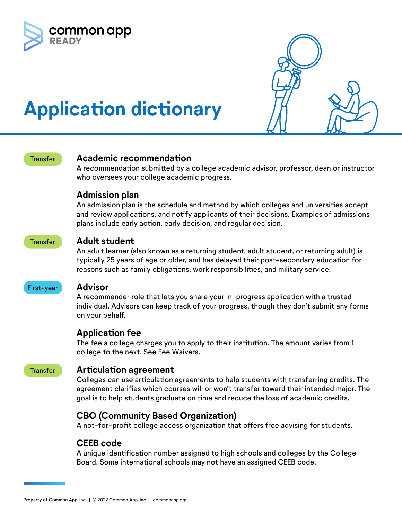



# **Application dictionary**

#### Transfer **Academic recommendation**

A recommendation submitted by a college academic advisor, professor, dean or instructor who oversees your college academic progress.

#### **Admission plan**

An admission plan is the schedule and method by which colleges and universities accept and review applications, and notify applicants of their decisions. Examples of admissions plans include early action, early decision, and regular decision.

#### Transfer **Adult student**

An adult learner (also known as a returning student, adult student, or returning adult) is typically 25 years of age or older, and has delayed their post-secondary education for reasons such as family obligations, work responsibilities, and military service.

#### First-year **Advisor**

A recommender role that lets you share your in-progress application with a trusted individual. Advisors can keep track of your progress, though they don't submit any forms on your behalf.

### **Application fee**

The fee a college charges you to apply to their institution. The amount varies from 1 college to the next. See Fee Waivers.

#### Transfer **Articulation agreement**

Colleges can use articulation agreements to help students with transferring credits. The agreement clarifies which courses will or won't transfer toward their intended major. The goal is to help students graduate on time and reduce the loss of academic credits.

# **CBO (Community Based Organization)**

A not-for-profit college access organization that offers free advising for students.

### **CEEB code**

A unique identification number assigned to high schools and colleges by the College Board. Some international schools may not have an assigned CEEB code.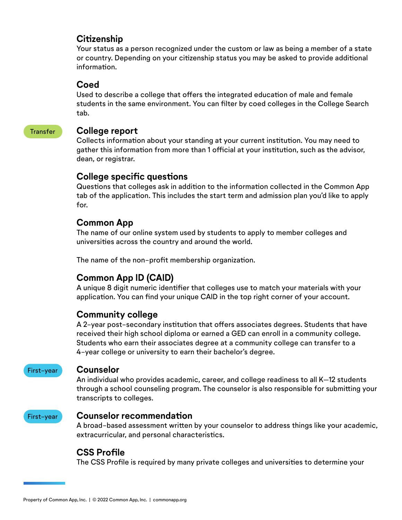### **Citizenship**

Your status as a person recognized under the custom or law as being a member of a state or country. Depending on your citizenship status you may be asked to provide additional information.

#### **Coed**

Used to describe a college that offers the integrated education of male and female students in the same environment. You can filter by coed colleges in the College Search tab.

#### Transfer **College report**

Collects information about your standing at your current institution. You may need to gather this information from more than 1 official at your institution, such as the advisor, dean, or registrar.

# **College specific questions**

Questions that colleges ask in addition to the information collected in the Common App tab of the application. This includes the start term and admission plan you'd like to apply for.

# **Common App**

The name of our online system used by students to apply to member colleges and universities across the country and around the world.

The name of the non-profit membership organization.

# **Common App ID (CAID)**

A unique 8 digit numeric identifier that colleges use to match your materials with your application. You can find your unique CAID in the top right corner of your account.

### **Community college**

A 2-year post-secondary institution that offers associates degrees. Students that have received their high school diploma or earned a GED can enroll in a community college. Students who earn their associates degree at a community college can transfer to a 4-year college or university to earn their bachelor's degree.

#### First-year **Counselor**

An individual who provides academic, career, and college readiness to all K–12 students through a school counseling program. The counselor is also responsible for submitting your transcripts to colleges.



#### First-year **Counselor recommendation**

A broad-based assessment written by your counselor to address things like your academic, extracurricular, and personal characteristics.

# **CSS Profile**

The CSS Profile is required by many private colleges and universities to determine your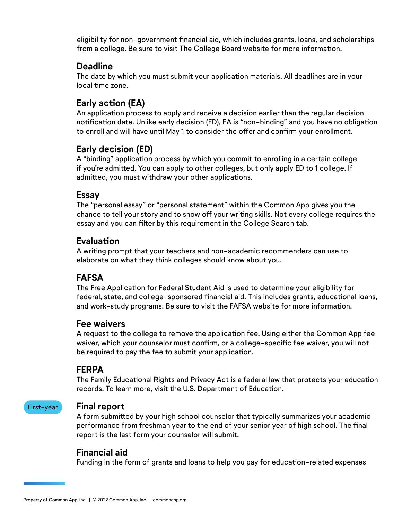eligibility for non-government financial aid, which includes grants, loans, and scholarships from a college. Be sure to visit The College Board website for more information.

#### **Deadline**

The date by which you must submit your application materials. All deadlines are in your local time zone.

# **Early action (EA)**

An application process to apply and receive a decision earlier than the regular decision notification date. Unlike early decision (ED), EA is "non-binding" and you have no obligation to enroll and will have until May 1 to consider the offer and confirm your enrollment.

### **Early decision (ED)**

A "binding" application process by which you commit to enrolling in a certain college if you're admitted. You can apply to other colleges, but only apply ED to 1 college. If admitted, you must withdraw your other applications.

#### **Essay**

The "personal essay" or "personal statement" within the Common App gives you the chance to tell your story and to show off your writing skills. Not every college requires the essay and you can filter by this requirement in the College Search tab.

### **Evaluation**

A writing prompt that your teachers and non-academic recommenders can use to elaborate on what they think colleges should know about you.

# **FAFSA**

The Free Application for Federal Student Aid is used to determine your eligibility for federal, state, and college-sponsored financial aid. This includes grants, educational loans, and work-study programs. Be sure to visit the FAFSA website for more information.

### **Fee waivers**

A request to the college to remove the application fee. Using either the Common App fee waiver, which your counselor must confirm, or a college-specific fee waiver, you will not be required to pay the fee to submit your application.

### **FERPA**

The Family Educational Rights and Privacy Act is a federal law that protects your education records. To learn more, visit the U.S. Department of Education.

#### First-year **Final report**

A form submitted by your high school counselor that typically summarizes your academic performance from freshman year to the end of your senior year of high school. The final report is the last form your counselor will submit.

### **Financial aid**

Funding in the form of grants and loans to help you pay for education-related expenses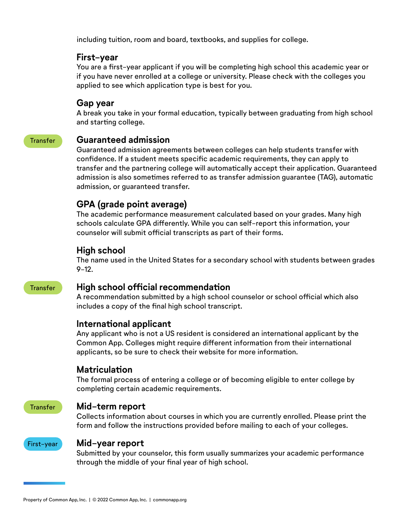including tuition, room and board, textbooks, and supplies for college.

#### **First-year**

You are a first-year applicant if you will be completing high school this academic year or if you have never enrolled at a college or university. Please check with the colleges you applied to see which application type is best for you.

#### **Gap year**

A break you take in your formal education, typically between graduating from high school and starting college.

### Transfer **Guaranteed admission**

Guaranteed admission agreements between colleges can help students transfer with confidence. If a student meets specific academic requirements, they can apply to transfer and the partnering college will automatically accept their application. Guaranteed admission is also sometimes referred to as transfer admission guarantee (TAG), automatic admission, or guaranteed transfer.

# **GPA (grade point average)**

The academic performance measurement calculated based on your grades. Many high schools calculate GPA differently. While you can self-report this information, your counselor will submit official transcripts as part of their forms.

### **High school**

The name used in the United States for a secondary school with students between grades 9-12.

#### Transfer **High school official recommendation**

A recommendation submitted by a high school counselor or school official which also includes a copy of the final high school transcript.

### **International applicant**

Any applicant who is not a US resident is considered an international applicant by the Common App. Colleges might require different information from their international applicants, so be sure to check their website for more information.

### **Matriculation**

The formal process of entering a college or of becoming eligible to enter college by completing certain academic requirements.

#### Transfer **Mid-term report**

Collects information about courses in which you are currently enrolled. Please print the form and follow the instructions provided before mailing to each of your colleges.



#### First-year **Mid-year report**

Submitted by your counselor, this form usually summarizes your academic performance through the middle of your final year of high school.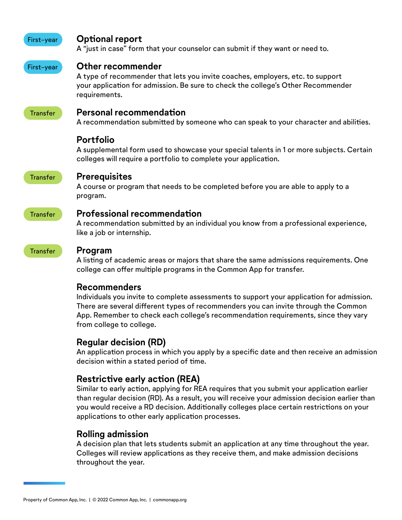#### First-year **Optional report**

A "just in case" form that your counselor can submit if they want or need to.

#### First-year **Other recommender**

A type of recommender that lets you invite coaches, employers, etc. to support your application for admission. Be sure to check the college's Other Recommender requirements.

### Transfer **Personal recommendation**

A recommendation submitted by someone who can speak to your character and abilities.

### **Portfolio**

A supplemental form used to showcase your special talents in 1 or more subjects. Certain colleges will require a portfolio to complete your application.

#### Transfer **Prerequisites**

A course or program that needs to be completed before you are able to apply to a program.

#### Transfer **Professional recommendation**

A recommendation submitted by an individual you know from a professional experience, like a job or internship.

#### Transfer **Program**

A listing of academic areas or majors that share the same admissions requirements. One college can offer multiple programs in the Common App for transfer.

### **Recommenders**

Individuals you invite to complete assessments to support your application for admission. There are several different types of recommenders you can invite through the Common App. Remember to check each college's recommendation requirements, since they vary from college to college.

### **Regular decision (RD)**

An application process in which you apply by a specific date and then receive an admission decision within a stated period of time.

# **Restrictive early action (REA)**

Similar to early action, applying for REA requires that you submit your application earlier than regular decision (RD). As a result, you will receive your admission decision earlier than you would receive a RD decision. Additionally colleges place certain restrictions on your applications to other early application processes.

### **Rolling admission**

A decision plan that lets students submit an application at any time throughout the year. Colleges will review applications as they receive them, and make admission decisions throughout the year.